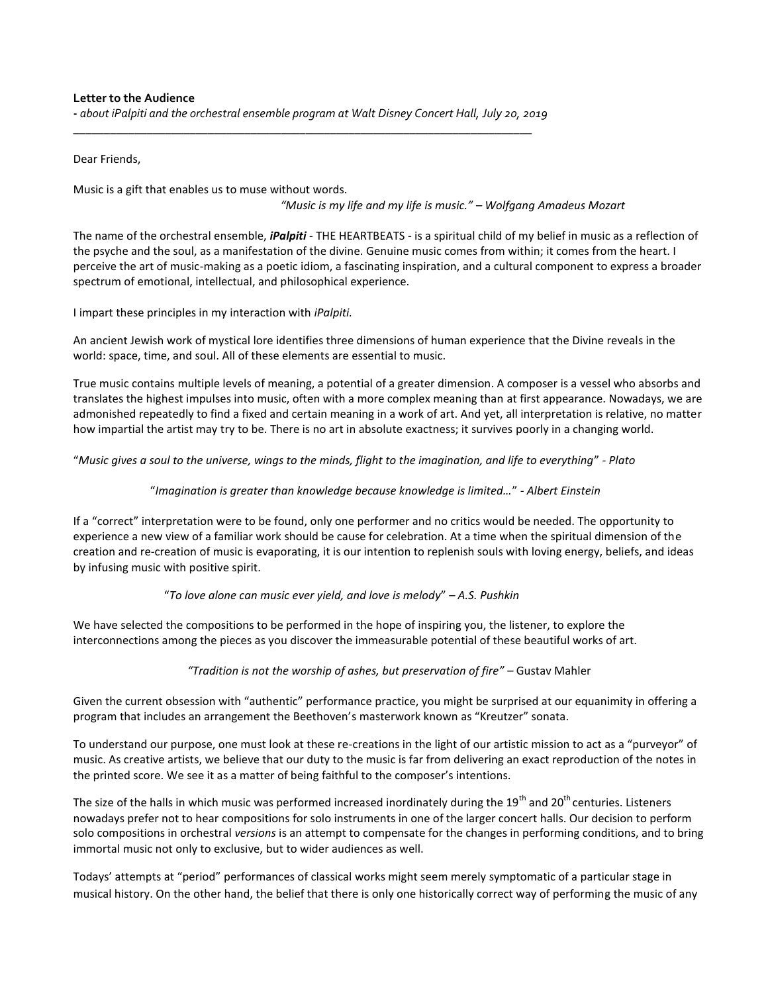#### **Letter to the Audience**

**-** *about iPalpiti and the orchestral ensemble program at Walt Disney Concert Hall, July 20, 2019 \_\_\_\_\_\_\_\_\_\_\_\_\_\_\_\_\_\_\_\_\_\_\_\_\_\_\_\_\_\_\_\_\_\_\_\_\_\_\_\_\_\_\_\_\_\_\_\_\_\_\_\_\_\_\_\_\_\_\_\_\_\_\_\_\_\_\_\_\_\_\_\_\_\_\_*

Dear Friends,

Music is a gift that enables us to muse without words.

*"Music is my life and my life is music." – Wolfgang Amadeus Mozart*

The name of the orchestral ensemble, *iPalpiti* - THE HEARTBEATS - is a spiritual child of my belief in music as a reflection of the psyche and the soul, as a manifestation of the divine. Genuine music comes from within; it comes from the heart. I perceive the art of music-making as a poetic idiom, a fascinating inspiration, and a cultural component to express a broader spectrum of emotional, intellectual, and philosophical experience.

I impart these principles in my interaction with *iPalpiti.*

An ancient Jewish work of mystical lore identifies three dimensions of human experience that the Divine reveals in the world: space, time, and soul. All of these elements are essential to music.

True music contains multiple levels of meaning, a potential of a greater dimension. A composer is a vessel who absorbs and translates the highest impulses into music, often with a more complex meaning than at first appearance. Nowadays, we are admonished repeatedly to find a fixed and certain meaning in a work of art. And yet, all interpretation is relative, no matter how impartial the artist may try to be. There is no art in absolute exactness; it survives poorly in a changing world.

"*Music gives a soul to the universe, wings to the minds, flight to the imagination, and life to everything*" *- Plato*

### "*Imagination is greater than knowledge because knowledge is limited…*" *- Albert Einstein*

If a "correct" interpretation were to be found, only one performer and no critics would be needed. The opportunity to experience a new view of a familiar work should be cause for celebration. At a time when the spiritual dimension of the creation and re-creation of music is evaporating, it is our intention to replenish souls with loving energy, beliefs, and ideas by infusing music with positive spirit.

#### "*To love alone can music ever yield, and love is melody*" *– A.S. Pushkin*

We have selected the compositions to be performed in the hope of inspiring you, the listener, to explore the interconnections among the pieces as you discover the immeasurable potential of these beautiful works of art.

*"Tradition is not the worship of ashes, but preservation of fire"* – Gustav Mahler

Given the current obsession with "authentic" performance practice, you might be surprised at our equanimity in offering a program that includes an arrangement the Beethoven's masterwork known as "Kreutzer" sonata.

To understand our purpose, one must look at these re-creations in the light of our artistic mission to act as a "purveyor" of music. As creative artists, we believe that our duty to the music is far from delivering an exact reproduction of the notes in the printed score. We see it as a matter of being faithful to the composer's intentions.

The size of the halls in which music was performed increased inordinately during the 19<sup>th</sup> and 20<sup>th</sup> centuries. Listeners nowadays prefer not to hear compositions for solo instruments in one of the larger concert halls. Our decision to perform solo compositions in orchestral *versions* is an attempt to compensate for the changes in performing conditions, and to bring immortal music not only to exclusive, but to wider audiences as well.

Todays' attempts at "period" performances of classical works might seem merely symptomatic of a particular stage in musical history. On the other hand, the belief that there is only one historically correct way of performing the music of any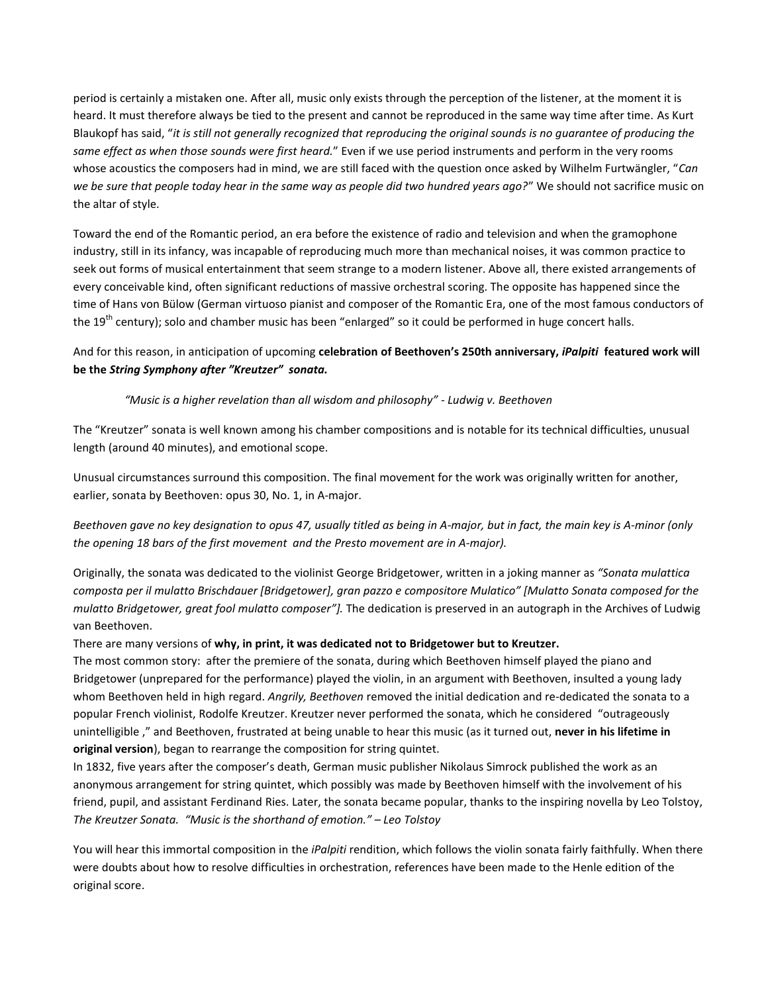period is certainly a mistaken one. After all, music only exists through the perception of the listener, at the moment it is heard. It must therefore always be tied to the present and cannot be reproduced in the same way time after time. As Kurt Blaukopf has said, "*it is still not generally recognized that reproducing the original sounds is no guarantee of producing the same effect as when those sounds were first heard.*" Even if we use period instruments and perform in the very rooms whose acoustics the composers had in mind, we are still faced with the question once asked by Wilhelm Furtwängler, "*Can we be sure that people today hear in the same way as people did two hundred years ago?*" We should not sacrifice music on the altar of style.

Toward the end of the Romantic period, an era before the existence of radio and television and when the gramophone industry, still in its infancy, was incapable of reproducing much more than mechanical noises, it was common practice to seek out forms of musical entertainment that seem strange to a modern listener. Above all, there existed arrangements of every conceivable kind, often significant reductions of massive orchestral scoring. The opposite has happened since the time of Hans von Bülow (German virtuoso pianist and composer of the Romantic Era, one of the most famous conductors of the 19<sup>th</sup> century); solo and chamber music has been "enlarged" so it could be performed in huge concert halls.

# And for this reason, in anticipation of upcoming **celebration of Beethoven's 250th anniversary,** *iPalpiti* **featured work will be the** *String Symphony after "Kreutzer" sonata.*

## *"Music is a higher revelation than all wisdom and philosophy" - Ludwig v. Beethoven*

The "Kreutzer" sonata is well known among his chamber compositions and is notable for its technical difficulties, unusual length (around 40 minutes), and emotional scope.

Unusual circumstances surround this composition. The final movement for the work was originally written for another, earlier, sonata by Beethoven: opus 30, No. 1, in A-major.

*Beethoven gave no key designation to opus 47, usually titled as being in A-major, but in fact, the main key is A-minor (only the opening 18 bars of the first movement and the Presto movement are in A-major).*

Originally, the sonata was dedicated to the violinist George Bridgetower, written in a joking manner as *"Sonata mulattica composta per il mulatto Brischdauer [Bridgetower], gran pazzo e compositore Mulatico" [Mulatto Sonata composed for the mulatto Bridgetower, great fool mulatto composer"].* The dedication is preserved in an autograph in the Archives of Ludwig van Beethoven.

There are many versions of **why, in print, it was dedicated not to Bridgetower but to Kreutzer.**

The most common story: after the premiere of the sonata, during which Beethoven himself played the piano and Bridgetower (unprepared for the performance) played the violin, in an argument with Beethoven, insulted a young lady whom Beethoven held in high regard. *Angrily, Beethoven* removed the initial dedication and re-dedicated the sonata to a popular French violinist, Rodolfe Kreutzer. Kreutzer never performed the sonata, which he considered "outrageously unintelligible ," and Beethoven, frustrated at being unable to hear this music (as it turned out, **never in his lifetime in original version**), began to rearrange the composition for string quintet.

In 1832, five years after the composer's death, German music publisher Nikolaus Simrock published the work as an anonymous arrangement for string quintet, which possibly was made by Beethoven himself with the involvement of his friend, pupil, and assistant Ferdinand Ries. Later, the sonata became popular, thanks to the inspiring novella by Leo Tolstoy, *The Kreutzer Sonata. "Music is the shorthand of emotion." – Leo Tolstoy*

You will hear this immortal composition in the *iPalpiti* rendition, which follows the violin sonata fairly faithfully. When there were doubts about how to resolve difficulties in orchestration, references have been made to the Henle edition of the original score.